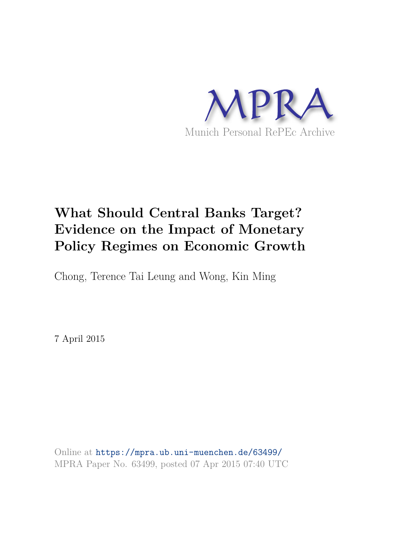

# **What Should Central Banks Target? Evidence on the Impact of Monetary Policy Regimes on Economic Growth**

Chong, Terence Tai Leung and Wong, Kin Ming

7 April 2015

Online at https://mpra.ub.uni-muenchen.de/63499/ MPRA Paper No. 63499, posted 07 Apr 2015 07:40 UTC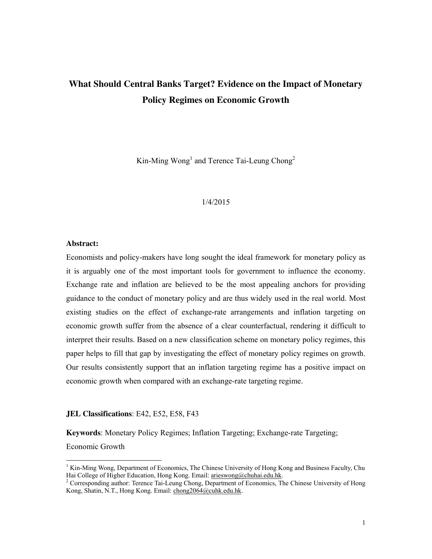# **What Should Central Banks Target? Evidence on the Impact of Monetary Policy Regimes on Economic Growth**

Kin-Ming  $Wong<sup>1</sup>$  and Terence Tai-Leung Chong<sup>2</sup>

#### 1/4/2015

#### **Abstract:**

Economists and policy-makers have long sought the ideal framework for monetary policy as it is arguably one of the most important tools for government to influence the economy. Exchange rate and inflation are believed to be the most appealing anchors for providing guidance to the conduct of monetary policy and are thus widely used in the real world. Most existing studies on the effect of exchange-rate arrangements and inflation targeting on economic growth suffer from the absence of a clear counterfactual, rendering it difficult to interpret their results. Based on a new classification scheme on monetary policy regimes, this paper helps to fill that gap by investigating the effect of monetary policy regimes on growth. Our results consistently support that an inflation targeting regime has a positive impact on economic growth when compared with an exchange-rate targeting regime.

#### **JEL Classifications**: E42, E52, E58, F43

**Keywords**: Monetary Policy Regimes; Inflation Targeting; Exchange-rate Targeting;

Economic Growth

<sup>&</sup>lt;sup>1</sup> Kin-Ming Wong, Department of Economics, The Chinese University of Hong Kong and Business Faculty, Chu Hai College of Higher Education, Hong Kong. Email: arieswong@chuhai.edu.hk.

<sup>&</sup>lt;sup>2</sup> Corresponding author: Terence Tai-Leung Chong, Department of Economics, The Chinese University of Hong Kong, Shatin, N.T., Hong Kong. Email: chong2064@cuhk.edu.hk.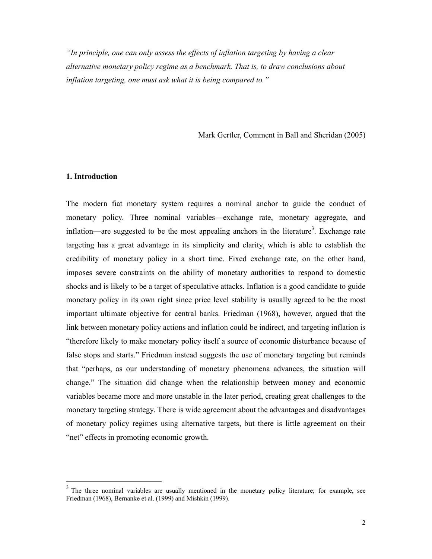*"In principle, one can only assess the effects of inflation targeting by having a clear alternative monetary policy regime as a benchmark. That is, to draw conclusions about inflation targeting, one must ask what it is being compared to."* 

Mark Gertler, Comment in Ball and Sheridan (2005)

#### **1. Introduction**

 $\overline{a}$ 

The modern fiat monetary system requires a nominal anchor to guide the conduct of monetary policy. Three nominal variables—exchange rate, monetary aggregate, and inflation—are suggested to be the most appealing anchors in the literature<sup>3</sup>. Exchange rate targeting has a great advantage in its simplicity and clarity, which is able to establish the credibility of monetary policy in a short time. Fixed exchange rate, on the other hand, imposes severe constraints on the ability of monetary authorities to respond to domestic shocks and is likely to be a target of speculative attacks. Inflation is a good candidate to guide monetary policy in its own right since price level stability is usually agreed to be the most important ultimate objective for central banks. Friedman (1968), however, argued that the link between monetary policy actions and inflation could be indirect, and targeting inflation is "therefore likely to make monetary policy itself a source of economic disturbance because of false stops and starts." Friedman instead suggests the use of monetary targeting but reminds that "perhaps, as our understanding of monetary phenomena advances, the situation will change." The situation did change when the relationship between money and economic variables became more and more unstable in the later period, creating great challenges to the monetary targeting strategy. There is wide agreement about the advantages and disadvantages of monetary policy regimes using alternative targets, but there is little agreement on their "net" effects in promoting economic growth.

 $3$  The three nominal variables are usually mentioned in the monetary policy literature; for example, see Friedman (1968), Bernanke et al. (1999) and Mishkin (1999).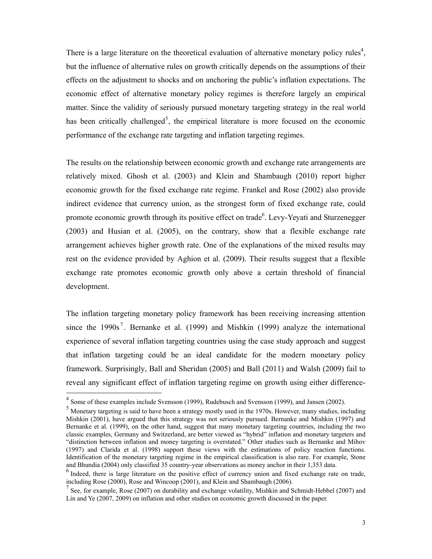There is a large literature on the theoretical evaluation of alternative monetary policy rules<sup>4</sup>, but the influence of alternative rules on growth critically depends on the assumptions of their effects on the adjustment to shocks and on anchoring the public's inflation expectations. The economic effect of alternative monetary policy regimes is therefore largely an empirical matter. Since the validity of seriously pursued monetary targeting strategy in the real world has been critically challenged<sup>5</sup>, the empirical literature is more focused on the economic performance of the exchange rate targeting and inflation targeting regimes.

The results on the relationship between economic growth and exchange rate arrangements are relatively mixed. Ghosh et al. (2003) and Klein and Shambaugh (2010) report higher economic growth for the fixed exchange rate regime. Frankel and Rose (2002) also provide indirect evidence that currency union, as the strongest form of fixed exchange rate, could promote economic growth through its positive effect on trade<sup>6</sup>. Levy-Yeyati and Sturzenegger (2003) and Husian et al. (2005), on the contrary, show that a flexible exchange rate arrangement achieves higher growth rate. One of the explanations of the mixed results may rest on the evidence provided by Aghion et al. (2009). Their results suggest that a flexible exchange rate promotes economic growth only above a certain threshold of financial development.

The inflation targeting monetary policy framework has been receiving increasing attention since the 1990s<sup>7</sup>. Bernanke et al. (1999) and Mishkin (1999) analyze the international experience of several inflation targeting countries using the case study approach and suggest that inflation targeting could be an ideal candidate for the modern monetary policy framework. Surprisingly, Ball and Sheridan (2005) and Ball (2011) and Walsh (2009) fail to reveal any significant effect of inflation targeting regime on growth using either difference-

<sup>&</sup>lt;sup>4</sup> Some of these examples include Svensson (1999), Rudebusch and Svensson (1999), and Jansen (2002).

<sup>&</sup>lt;sup>5</sup> Monetary targeting is said to have been a strategy mostly used in the 1970s. However, many studies, including Mishkin (2001), have argued that this strategy was not seriously pursued. Bernanke and Mishkin (1997) and Bernanke et al. (1999), on the other hand, suggest that many monetary targeting countries, including the two classic examples, Germany and Switzerland, are better viewed as "hybrid" inflation and monetary targeters and "distinction between inflation and money targeting is overstated." Other studies such as Bernanke and Mihov (1997) and Clarida et al. (1998) support these views with the estimations of policy reaction functions. Identification of the monetary targeting regime in the empirical classification is also rare. For example, Stone and Bhundia (2004) only classified 35 country-year observations as money anchor in their 1,353 data.

<sup>&</sup>lt;sup>6</sup> Indeed, there is large literature on the positive effect of currency union and fixed exchange rate on trade, including Rose (2000), Rose and Wincoop (2001), and Klein and Shambaugh (2006).

 $<sup>7</sup>$  See, for example, Rose (2007) on durability and exchange volatility, Mishkin and Schmidt-Hebbel (2007) and</sup> Lin and Ye (2007, 2009) on inflation and other studies on economic growth discussed in the paper.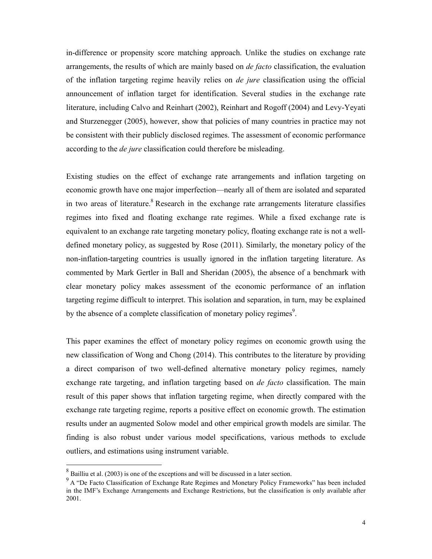in-difference or propensity score matching approach. Unlike the studies on exchange rate arrangements, the results of which are mainly based on *de facto* classification, the evaluation of the inflation targeting regime heavily relies on *de jure* classification using the official announcement of inflation target for identification. Several studies in the exchange rate literature, including Calvo and Reinhart (2002), Reinhart and Rogoff (2004) and Levy-Yeyati and Sturzenegger (2005), however, show that policies of many countries in practice may not be consistent with their publicly disclosed regimes. The assessment of economic performance according to the *de jure* classification could therefore be misleading.

Existing studies on the effect of exchange rate arrangements and inflation targeting on economic growth have one major imperfection—nearly all of them are isolated and separated in two areas of literature.<sup>8</sup> Research in the exchange rate arrangements literature classifies regimes into fixed and floating exchange rate regimes. While a fixed exchange rate is equivalent to an exchange rate targeting monetary policy, floating exchange rate is not a welldefined monetary policy, as suggested by Rose (2011). Similarly, the monetary policy of the non-inflation-targeting countries is usually ignored in the inflation targeting literature. As commented by Mark Gertler in Ball and Sheridan (2005), the absence of a benchmark with clear monetary policy makes assessment of the economic performance of an inflation targeting regime difficult to interpret. This isolation and separation, in turn, may be explained by the absence of a complete classification of monetary policy regimes<sup>9</sup>.

This paper examines the effect of monetary policy regimes on economic growth using the new classification of Wong and Chong (2014). This contributes to the literature by providing a direct comparison of two well-defined alternative monetary policy regimes, namely exchange rate targeting, and inflation targeting based on *de facto* classification. The main result of this paper shows that inflation targeting regime, when directly compared with the exchange rate targeting regime, reports a positive effect on economic growth. The estimation results under an augmented Solow model and other empirical growth models are similar. The finding is also robust under various model specifications, various methods to exclude outliers, and estimations using instrument variable.

<sup>&</sup>lt;sup>8</sup> Bailliu et al. (2003) is one of the exceptions and will be discussed in a later section.

<sup>&</sup>lt;sup>9</sup> A "De Facto Classification of Exchange Rate Regimes and Monetary Policy Frameworks" has been included in the IMF's Exchange Arrangements and Exchange Restrictions, but the classification is only available after 2001.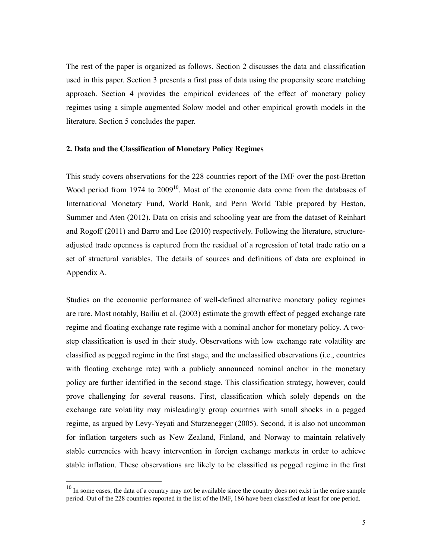The rest of the paper is organized as follows. Section 2 discusses the data and classification used in this paper. Section 3 presents a first pass of data using the propensity score matching approach. Section 4 provides the empirical evidences of the effect of monetary policy regimes using a simple augmented Solow model and other empirical growth models in the literature. Section 5 concludes the paper.

#### **2. Data and the Classification of Monetary Policy Regimes**

This study covers observations for the 228 countries report of the IMF over the post-Bretton Wood period from 1974 to  $2009<sup>10</sup>$ . Most of the economic data come from the databases of International Monetary Fund, World Bank, and Penn World Table prepared by Heston, Summer and Aten (2012). Data on crisis and schooling year are from the dataset of Reinhart and Rogoff (2011) and Barro and Lee (2010) respectively. Following the literature, structureadjusted trade openness is captured from the residual of a regression of total trade ratio on a set of structural variables. The details of sources and definitions of data are explained in Appendix A.

Studies on the economic performance of well-defined alternative monetary policy regimes are rare. Most notably, Bailiu et al. (2003) estimate the growth effect of pegged exchange rate regime and floating exchange rate regime with a nominal anchor for monetary policy. A twostep classification is used in their study. Observations with low exchange rate volatility are classified as pegged regime in the first stage, and the unclassified observations (i.e., countries with floating exchange rate) with a publicly announced nominal anchor in the monetary policy are further identified in the second stage. This classification strategy, however, could prove challenging for several reasons. First, classification which solely depends on the exchange rate volatility may misleadingly group countries with small shocks in a pegged regime, as argued by Levy-Yeyati and Sturzenegger (2005). Second, it is also not uncommon for inflation targeters such as New Zealand, Finland, and Norway to maintain relatively stable currencies with heavy intervention in foreign exchange markets in order to achieve stable inflation. These observations are likely to be classified as pegged regime in the first

 $10$  In some cases, the data of a country may not be available since the country does not exist in the entire sample period. Out of the 228 countries reported in the list of the IMF, 186 have been classified at least for one period.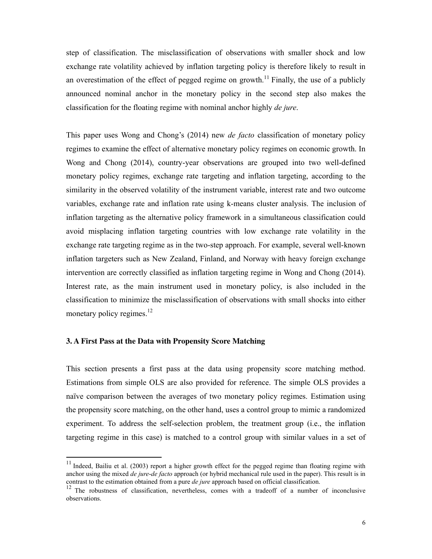step of classification. The misclassification of observations with smaller shock and low exchange rate volatility achieved by inflation targeting policy is therefore likely to result in an overestimation of the effect of pegged regime on growth.<sup>11</sup> Finally, the use of a publicly announced nominal anchor in the monetary policy in the second step also makes the classification for the floating regime with nominal anchor highly *de jure*.

This paper uses Wong and Chong's (2014) new *de facto* classification of monetary policy regimes to examine the effect of alternative monetary policy regimes on economic growth. In Wong and Chong (2014), country-year observations are grouped into two well-defined monetary policy regimes, exchange rate targeting and inflation targeting, according to the similarity in the observed volatility of the instrument variable, interest rate and two outcome variables, exchange rate and inflation rate using k-means cluster analysis. The inclusion of inflation targeting as the alternative policy framework in a simultaneous classification could avoid misplacing inflation targeting countries with low exchange rate volatility in the exchange rate targeting regime as in the two-step approach. For example, several well-known inflation targeters such as New Zealand, Finland, and Norway with heavy foreign exchange intervention are correctly classified as inflation targeting regime in Wong and Chong (2014). Interest rate, as the main instrument used in monetary policy, is also included in the classification to minimize the misclassification of observations with small shocks into either monetary policy regimes. $12$ 

#### **3. A First Pass at the Data with Propensity Score Matching**

 $\overline{a}$ 

This section presents a first pass at the data using propensity score matching method. Estimations from simple OLS are also provided for reference. The simple OLS provides a naïve comparison between the averages of two monetary policy regimes. Estimation using the propensity score matching, on the other hand, uses a control group to mimic a randomized experiment. To address the self-selection problem, the treatment group (i.e., the inflation targeting regime in this case) is matched to a control group with similar values in a set of

<sup>&</sup>lt;sup>11</sup> Indeed, Bailiu et al. (2003) report a higher growth effect for the pegged regime than floating regime with anchor using the mixed *de jure*-*de facto* approach (or hybrid mechanical rule used in the paper). This result is in contrast to the estimation obtained from a pure *de jure* approach based on official classification.

<sup>&</sup>lt;sup>12</sup> The robustness of classification, nevertheless, comes with a tradeoff of a number of inconclusive observations.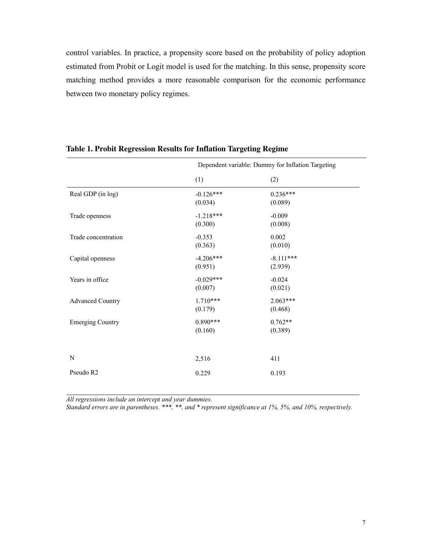control variables. In practice, a propensity score based on the probability of policy adoption estimated from Probit or Logit model is used for the matching. In this sense, propensity score matching method provides a more reasonable comparison for the economic performance between two monetary policy regimes.

|                         | Dependent variable: Dummy for Inflation Targeting |             |  |
|-------------------------|---------------------------------------------------|-------------|--|
|                         | (1)                                               | (2)         |  |
| Real GDP (in log)       | $-0.126***$                                       | $0.236***$  |  |
|                         | (0.034)                                           | (0.089)     |  |
| Trade openness          | $-1.218***$                                       | $-0.009$    |  |
|                         | (0.300)                                           | (0.008)     |  |
| Trade concentration     | $-0.353$                                          | 0.002       |  |
|                         | (0.363)                                           | (0.010)     |  |
| Capital openness        | $-4.206***$                                       | $-8.111***$ |  |
|                         | (0.951)                                           | (2.939)     |  |
| Years in office         | $-0.029***$                                       | $-0.024$    |  |
|                         | (0.007)                                           | (0.021)     |  |
| <b>Advanced Country</b> | $1.710***$                                        | $2.063***$  |  |
|                         | (0.179)                                           | (0.468)     |  |
| <b>Emerging Country</b> | $0.890***$                                        | $0.762**$   |  |
|                         | (0.160)                                           | (0.389)     |  |
|                         |                                                   |             |  |
| N                       | 2,516                                             | 411         |  |
| Pseudo R2               | 0.229                                             | 0.193       |  |
|                         |                                                   |             |  |

**Table 1. Probit Regression Results for Inflation Targeting Regime** 

*All regressions include an intercept and year dummies.* 

*Standard errors are in parentheses. \*\*\*, \*\*, and \* represent significance at 1%, 5%, and 10%, respectively.*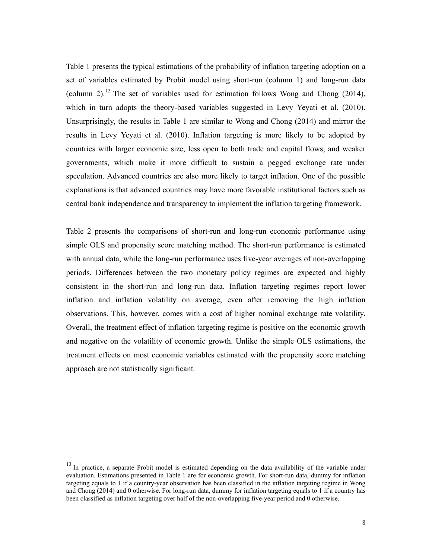Table 1 presents the typical estimations of the probability of inflation targeting adoption on a set of variables estimated by Probit model using short-run (column 1) and long-run data (column 2).<sup>13</sup> The set of variables used for estimation follows Wong and Chong (2014), which in turn adopts the theory-based variables suggested in Levy Yeyati et al. (2010). Unsurprisingly, the results in Table 1 are similar to Wong and Chong (2014) and mirror the results in Levy Yeyati et al. (2010). Inflation targeting is more likely to be adopted by countries with larger economic size, less open to both trade and capital flows, and weaker governments, which make it more difficult to sustain a pegged exchange rate under speculation. Advanced countries are also more likely to target inflation. One of the possible explanations is that advanced countries may have more favorable institutional factors such as central bank independence and transparency to implement the inflation targeting framework.

Table 2 presents the comparisons of short-run and long-run economic performance using simple OLS and propensity score matching method. The short-run performance is estimated with annual data, while the long-run performance uses five-year averages of non-overlapping periods. Differences between the two monetary policy regimes are expected and highly consistent in the short-run and long-run data. Inflation targeting regimes report lower inflation and inflation volatility on average, even after removing the high inflation observations. This, however, comes with a cost of higher nominal exchange rate volatility. Overall, the treatment effect of inflation targeting regime is positive on the economic growth and negative on the volatility of economic growth. Unlike the simple OLS estimations, the treatment effects on most economic variables estimated with the propensity score matching approach are not statistically significant.

<sup>&</sup>lt;sup>13</sup> In practice, a separate Probit model is estimated depending on the data availability of the variable under evaluation. Estimations presented in Table 1 are for economic growth. For short-run data, dummy for inflation targeting equals to 1 if a country-year observation has been classified in the inflation targeting regime in Wong and Chong (2014) and 0 otherwise. For long-run data, dummy for inflation targeting equals to 1 if a country has been classified as inflation targeting over half of the non-overlapping five-year period and 0 otherwise.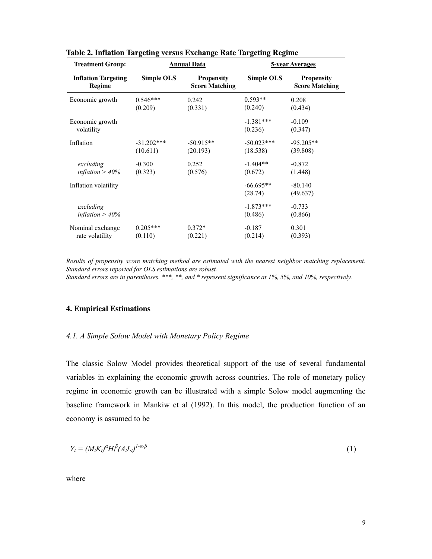| <b>Treatment Group:</b>              | <b>Annual Data</b>       |                                            |                          |                                            | <u>5-year Averages</u> |  |  |
|--------------------------------------|--------------------------|--------------------------------------------|--------------------------|--------------------------------------------|------------------------|--|--|
| <b>Inflation Targeting</b><br>Regime | Simple OLS               | <b>Propensity</b><br><b>Score Matching</b> | Simple OLS               | <b>Propensity</b><br><b>Score Matching</b> |                        |  |  |
| Economic growth                      | $0.546***$<br>(0.209)    | 0.242<br>(0.331)                           | $0.593**$<br>(0.240)     | 0.208<br>(0.434)                           |                        |  |  |
| Economic growth<br>volatility        |                          |                                            | $-1.381***$<br>(0.236)   | $-0.109$<br>(0.347)                        |                        |  |  |
| Inflation                            | $-31.202***$<br>(10.611) | $-50.915**$<br>(20.193)                    | $-50.023***$<br>(18.538) | $-95.205**$<br>(39.808)                    |                        |  |  |
| excluding<br>inflation $>$ 40%       | $-0.300$<br>(0.323)      | 0.252<br>(0.576)                           | $-1.404**$<br>(0.672)    | $-0.872$<br>(1.448)                        |                        |  |  |
| Inflation volatility                 |                          |                                            | $-66.695**$<br>(28.74)   | $-80.140$<br>(49.637)                      |                        |  |  |
| excluding<br>inflation $> 40\%$      |                          |                                            | $-1.873***$<br>(0.486)   | $-0.733$<br>(0.866)                        |                        |  |  |
| Nominal exchange<br>rate volatility  | $0.205***$<br>(0.110)    | $0.372*$<br>(0.221)                        | $-0.187$<br>(0.214)      | 0.301<br>(0.393)                           |                        |  |  |

| <b>Table 2. Inflation Targeting versus Exchange Rate Targeting Regime</b> |  |  |  |  |  |  |  |  |
|---------------------------------------------------------------------------|--|--|--|--|--|--|--|--|
|---------------------------------------------------------------------------|--|--|--|--|--|--|--|--|

*Results of propensity score matching method are estimated with the nearest neighbor matching replacement. Standard errors reported for OLS estimations are robust.* 

*Standard errors are in parentheses. \*\*\*, \*\*, and \* represent significance at 1%, 5%, and 10%, respectively.* 

#### **4. Empirical Estimations**

#### *4.1. A Simple Solow Model with Monetary Policy Regime*

The classic Solow Model provides theoretical support of the use of several fundamental variables in explaining the economic growth across countries. The role of monetary policy regime in economic growth can be illustrated with a simple Solow model augmenting the baseline framework in Mankiw et al (1992). In this model, the production function of an economy is assumed to be

$$
Y_t = (M_t K_t)^{\alpha} H_t^{\beta} (A_t L_t)^{1-\alpha-\beta} \tag{1}
$$

where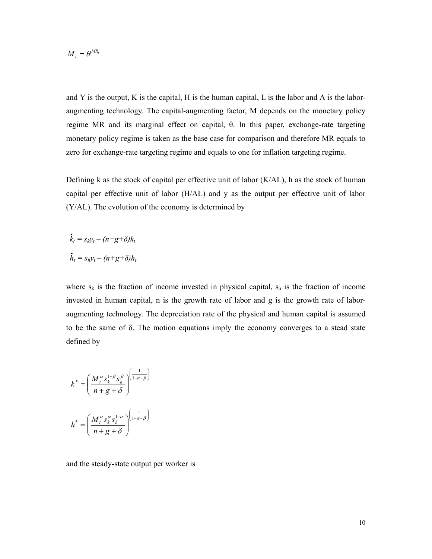$M_t = \theta^{MR_t}$ 

and Y is the output, K is the capital, H is the human capital, L is the labor and A is the laboraugmenting technology. The capital-augmenting factor, M depends on the monetary policy regime MR and its marginal effect on capital, θ. In this paper, exchange-rate targeting monetary policy regime is taken as the base case for comparison and therefore MR equals to zero for exchange-rate targeting regime and equals to one for inflation targeting regime.

Defining k as the stock of capital per effective unit of labor  $(K/AL)$ , h as the stock of human capital per effective unit of labor (H/AL) and y as the output per effective unit of labor (Y/AL). The evolution of the economy is determined by

$$
\dot{k}_t = s_k y_t - (n+g+\delta)k_t
$$
  

$$
\dot{h}_t = s_h y_t - (n+g+\delta)h_t
$$

where  $s_k$  is the fraction of income invested in physical capital,  $s_h$  is the fraction of income invested in human capital, n is the growth rate of labor and g is the growth rate of laboraugmenting technology. The depreciation rate of the physical and human capital is assumed to be the same of  $\delta$ . The motion equations imply the economy converges to a stead state defined by

$$
k^* = \left(\frac{M_t^{\alpha} s_k^{1-\beta} s_h^{\beta}}{n+g+\delta}\right)^{\left(\frac{1}{1-\alpha-\beta}\right)}
$$

$$
h^* = \left(\frac{M_t^{\alpha} s_k^{\alpha} s_h^{1-\alpha}}{n+g+\delta}\right)^{\left(\frac{1}{1-\alpha-\beta}\right)}
$$

and the steady-state output per worker is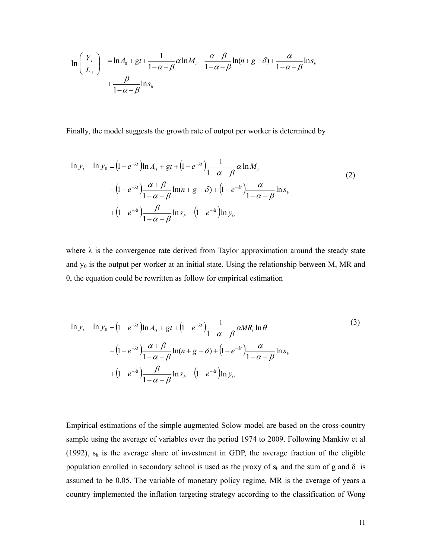$$
\ln\left(\frac{Y_t}{L_t}\right) = \ln A_0 + gt + \frac{1}{1-\alpha-\beta}\alpha\ln M_t - \frac{\alpha+\beta}{1-\alpha-\beta}\ln(n+g+\delta) + \frac{\alpha}{1-\alpha-\beta}\ln s_k + \frac{\beta}{1-\alpha-\beta}\ln s_h
$$

Finally, the model suggests the growth rate of output per worker is determined by

$$
\ln y_{t} - \ln y_{0} = (1 - e^{-\lambda t}) \ln A_{0} + gt + (1 - e^{-\lambda t}) \frac{1}{1 - \alpha - \beta} \alpha \ln M_{t}
$$
  

$$
- (1 - e^{-\lambda t}) \frac{\alpha + \beta}{1 - \alpha - \beta} \ln(n + g + \delta) + (1 - e^{-\lambda t}) \frac{\alpha}{1 - \alpha - \beta} \ln s_{k}
$$
  

$$
+ (1 - e^{-\lambda t}) \frac{\beta}{1 - \alpha - \beta} \ln s_{h} - (1 - e^{-\lambda t}) \ln y_{0}
$$
 (2)

where  $\lambda$  is the convergence rate derived from Taylor approximation around the steady state and  $y_0$  is the output per worker at an initial state. Using the relationship between M, MR and θ, the equation could be rewritten as follow for empirical estimation

$$
\ln y_{t} - \ln y_{0} = (1 - e^{-\lambda t}) \ln A_{0} + gt + (1 - e^{-\lambda t}) \frac{1}{1 - \alpha - \beta} \alpha MR_{t} \ln \theta
$$
\n
$$
- (1 - e^{-\lambda t}) \frac{\alpha + \beta}{1 - \alpha - \beta} \ln(n + g + \delta) + (1 - e^{-\lambda t}) \frac{\alpha}{1 - \alpha - \beta} \ln s_{k}
$$
\n
$$
+ (1 - e^{-\lambda t}) \frac{\beta}{1 - \alpha - \beta} \ln s_{h} - (1 - e^{-\lambda t}) \ln y_{0}
$$
\n(3)

Empirical estimations of the simple augmented Solow model are based on the cross-country sample using the average of variables over the period 1974 to 2009. Following Mankiw et al (1992),  $s_k$  is the average share of investment in GDP, the average fraction of the eligible population enrolled in secondary school is used as the proxy of  $s_h$  and the sum of g and  $\delta$  is assumed to be 0.05. The variable of monetary policy regime, MR is the average of years a country implemented the inflation targeting strategy according to the classification of Wong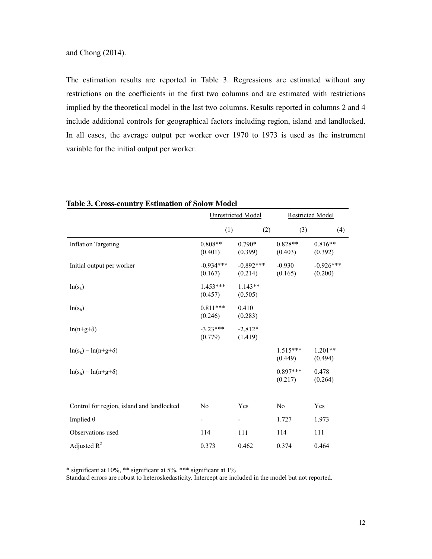The estimation results are reported in Table 3. Regressions are estimated without any restrictions on the coefficients in the first two columns and are estimated with restrictions implied by the theoretical model in the last two columns. Results reported in columns 2 and 4 include additional controls for geographical factors including region, island and landlocked. In all cases, the average output per worker over 1970 to 1973 is used as the instrument variable for the initial output per worker.

|                                           | <b>Unrestricted Model</b> |                        | <b>Restricted Model</b> |                        |  |
|-------------------------------------------|---------------------------|------------------------|-------------------------|------------------------|--|
|                                           | (1)                       | (2)                    | (3)                     | (4)                    |  |
| <b>Inflation Targeting</b>                | $0.808**$<br>(0.401)      | $0.790*$<br>(0.399)    | $0.828**$<br>(0.403)    | $0.816**$<br>(0.392)   |  |
| Initial output per worker                 | $-0.934***$<br>(0.167)    | $-0.892***$<br>(0.214) | $-0.930$<br>(0.165)     | $-0.926***$<br>(0.200) |  |
| $ln(s_k)$                                 | $1.453***$<br>(0.457)     | $1.143**$<br>(0.505)   |                         |                        |  |
| $ln(s_h)$                                 | $0.811***$<br>(0.246)     | 0.410<br>(0.283)       |                         |                        |  |
| $ln(n+g+\delta)$                          | $-3.23***$<br>(0.779)     | $-2.812*$<br>(1.419)   |                         |                        |  |
| $ln(s_k) - ln(n+g+\delta)$                |                           |                        | $1.515***$<br>(0.449)   | $1.201**$<br>(0.494)   |  |
| $ln(s_h) - ln(n+g+\delta)$                |                           |                        | $0.897***$<br>(0.217)   | 0.478<br>(0.264)       |  |
| Control for region, island and landlocked | N <sub>0</sub>            | Yes                    | No                      | Yes                    |  |
| Implied $\theta$                          |                           |                        | 1.727                   | 1.973                  |  |
| Observations used                         | 114                       | 111                    | 114                     | 111                    |  |
| Adjusted $R^2$                            | 0.373                     | 0.462                  | 0.374                   | 0.464                  |  |

**Table 3. Cross-country Estimation of Solow Model** 

\* significant at 10%, \*\* significant at 5%, \*\*\* significant at 1%

Standard errors are robust to heteroskedasticity. Intercept are included in the model but not reported.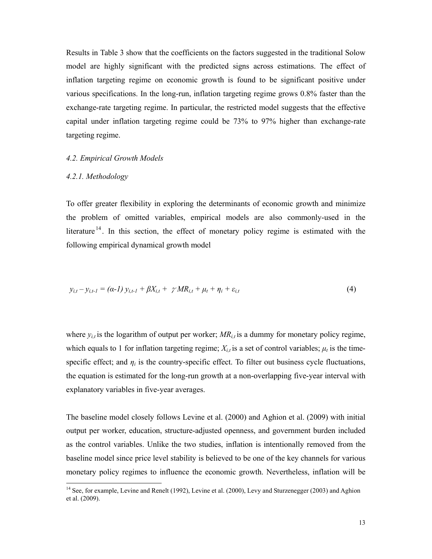Results in Table 3 show that the coefficients on the factors suggested in the traditional Solow model are highly significant with the predicted signs across estimations. The effect of inflation targeting regime on economic growth is found to be significant positive under various specifications. In the long-run, inflation targeting regime grows 0.8% faster than the exchange-rate targeting regime. In particular, the restricted model suggests that the effective capital under inflation targeting regime could be 73% to 97% higher than exchange-rate targeting regime.

#### *4.2. Empirical Growth Models*

#### *4.2.1. Methodology*

 $\overline{a}$ 

To offer greater flexibility in exploring the determinants of economic growth and minimize the problem of omitted variables, empirical models are also commonly-used in the literature<sup>14</sup>. In this section, the effect of monetary policy regime is estimated with the following empirical dynamical growth model

$$
y_{i,t} - y_{i,t-1} = (\alpha - 1) y_{i,t-1} + \beta X_{i,t} + \gamma M R_{i,t} + \mu_t + \eta_i + \varepsilon_{i,t}
$$
 (4)

where  $y_{i,t}$  is the logarithm of output per worker;  $MR_{i,t}$  is a dummy for monetary policy regime, which equals to 1 for inflation targeting regime;  $X_{i,t}$  is a set of control variables;  $\mu_t$  is the timespecific effect; and  $\eta_i$  is the country-specific effect. To filter out business cycle fluctuations, the equation is estimated for the long-run growth at a non-overlapping five-year interval with explanatory variables in five-year averages.

The baseline model closely follows Levine et al. (2000) and Aghion et al. (2009) with initial output per worker, education, structure-adjusted openness, and government burden included as the control variables. Unlike the two studies, inflation is intentionally removed from the baseline model since price level stability is believed to be one of the key channels for various monetary policy regimes to influence the economic growth. Nevertheless, inflation will be

<sup>&</sup>lt;sup>14</sup> See, for example, Levine and Renelt (1992), Levine et al. (2000), Levy and Sturzenegger (2003) and Aghion et al. (2009).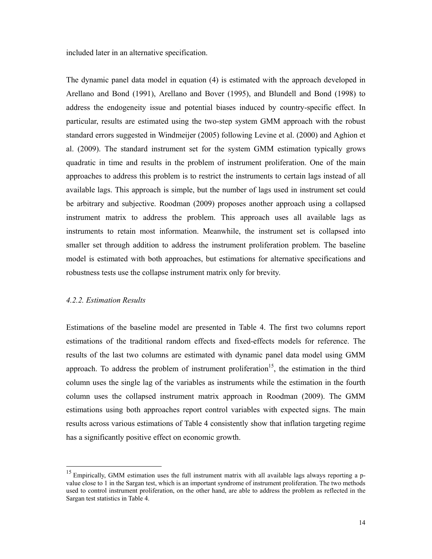included later in an alternative specification.

The dynamic panel data model in equation (4) is estimated with the approach developed in Arellano and Bond (1991), Arellano and Bover (1995), and Blundell and Bond (1998) to address the endogeneity issue and potential biases induced by country-specific effect. In particular, results are estimated using the two-step system GMM approach with the robust standard errors suggested in Windmeijer (2005) following Levine et al. (2000) and Aghion et al. (2009). The standard instrument set for the system GMM estimation typically grows quadratic in time and results in the problem of instrument proliferation. One of the main approaches to address this problem is to restrict the instruments to certain lags instead of all available lags. This approach is simple, but the number of lags used in instrument set could be arbitrary and subjective. Roodman (2009) proposes another approach using a collapsed instrument matrix to address the problem. This approach uses all available lags as instruments to retain most information. Meanwhile, the instrument set is collapsed into smaller set through addition to address the instrument proliferation problem. The baseline model is estimated with both approaches, but estimations for alternative specifications and robustness tests use the collapse instrument matrix only for brevity.

#### *4.2.2. Estimation Results*

 $\overline{a}$ 

Estimations of the baseline model are presented in Table 4. The first two columns report estimations of the traditional random effects and fixed-effects models for reference. The results of the last two columns are estimated with dynamic panel data model using GMM approach. To address the problem of instrument proliferation<sup>15</sup>, the estimation in the third column uses the single lag of the variables as instruments while the estimation in the fourth column uses the collapsed instrument matrix approach in Roodman (2009). The GMM estimations using both approaches report control variables with expected signs. The main results across various estimations of Table 4 consistently show that inflation targeting regime has a significantly positive effect on economic growth.

 $15$  Empirically, GMM estimation uses the full instrument matrix with all available lags always reporting a pvalue close to 1 in the Sargan test, which is an important syndrome of instrument proliferation. The two methods used to control instrument proliferation, on the other hand, are able to address the problem as reflected in the Sargan test statistics in Table 4.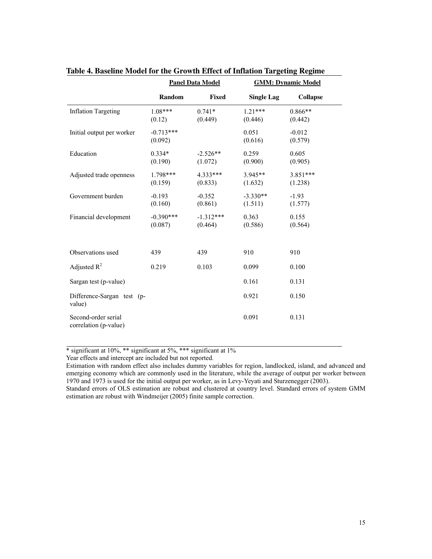|                                              | <b>Panel Data Model</b> |                        |                       | <b>GMM: Dynamic Model</b> |
|----------------------------------------------|-------------------------|------------------------|-----------------------|---------------------------|
|                                              | Random                  | Fixed                  | <b>Single Lag</b>     | <b>Collapse</b>           |
| <b>Inflation Targeting</b>                   | $1.08***$<br>(0.12)     | $0.741*$<br>(0.449)    | $1.21***$<br>(0.446)  | $0.866**$<br>(0.442)      |
| Initial output per worker                    | $-0.713***$<br>(0.092)  |                        | 0.051<br>(0.616)      | $-0.012$<br>(0.579)       |
| Education                                    | $0.334*$<br>(0.190)     | $-2.526**$<br>(1.072)  | 0.259<br>(0.900)      | 0.605<br>(0.905)          |
| Adjusted trade openness                      | 1.798***<br>(0.159)     | $4.333***$<br>(0.833)  | 3.945**<br>(1.632)    | $3.851***$<br>(1.238)     |
| Government burden                            | $-0.193$<br>(0.160)     | $-0.352$<br>(0.861)    | $-3.330**$<br>(1.511) | $-1.93$<br>(1.577)        |
| Financial development                        | $-0.390***$<br>(0.087)  | $-1.312***$<br>(0.464) | 0.363<br>(0.586)      | 0.155<br>(0.564)          |
| Observations used                            | 439                     | 439                    | 910                   | 910                       |
| Adjusted $R^2$                               | 0.219                   | 0.103                  | 0.099                 | 0.100                     |
| Sargan test (p-value)                        |                         |                        | 0.161                 | 0.131                     |
| Difference-Sargan test (p-<br>value)         |                         |                        | 0.921                 | 0.150                     |
| Second-order serial<br>correlation (p-value) |                         |                        | 0.091                 | 0.131                     |

**Table 4. Baseline Model for the Growth Effect of Inflation Targeting Regime** 

\* significant at 10%, \*\* significant at 5%, \*\*\* significant at 1%

Year effects and intercept are included but not reported.

Estimation with random effect also includes dummy variables for region, landlocked, island, and advanced and emerging economy which are commonly used in the literature, while the average of output per worker between 1970 and 1973 is used for the initial output per worker, as in Levy-Yeyati and Sturzenegger (2003).

Standard errors of OLS estimation are robust and clustered at country level. Standard errors of system GMM estimation are robust with Windmeijer (2005) finite sample correction.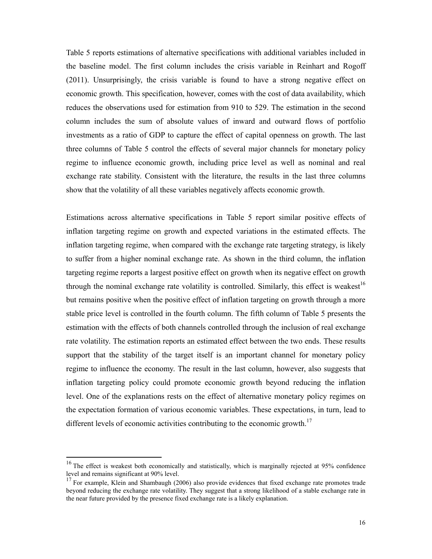Table 5 reports estimations of alternative specifications with additional variables included in the baseline model. The first column includes the crisis variable in Reinhart and Rogoff (2011). Unsurprisingly, the crisis variable is found to have a strong negative effect on economic growth. This specification, however, comes with the cost of data availability, which reduces the observations used for estimation from 910 to 529. The estimation in the second column includes the sum of absolute values of inward and outward flows of portfolio investments as a ratio of GDP to capture the effect of capital openness on growth. The last three columns of Table 5 control the effects of several major channels for monetary policy regime to influence economic growth, including price level as well as nominal and real exchange rate stability. Consistent with the literature, the results in the last three columns show that the volatility of all these variables negatively affects economic growth.

Estimations across alternative specifications in Table 5 report similar positive effects of inflation targeting regime on growth and expected variations in the estimated effects. The inflation targeting regime, when compared with the exchange rate targeting strategy, is likely to suffer from a higher nominal exchange rate. As shown in the third column, the inflation targeting regime reports a largest positive effect on growth when its negative effect on growth through the nominal exchange rate volatility is controlled. Similarly, this effect is weakest<sup>16</sup> but remains positive when the positive effect of inflation targeting on growth through a more stable price level is controlled in the fourth column. The fifth column of Table 5 presents the estimation with the effects of both channels controlled through the inclusion of real exchange rate volatility. The estimation reports an estimated effect between the two ends. These results support that the stability of the target itself is an important channel for monetary policy regime to influence the economy. The result in the last column, however, also suggests that inflation targeting policy could promote economic growth beyond reducing the inflation level. One of the explanations rests on the effect of alternative monetary policy regimes on the expectation formation of various economic variables. These expectations, in turn, lead to different levels of economic activities contributing to the economic growth.<sup>17</sup>

<sup>&</sup>lt;sup>16</sup> The effect is weakest both economically and statistically, which is marginally rejected at 95% confidence level and remains significant at 90% level.

<sup>&</sup>lt;sup>17</sup> For example, Klein and Shambaugh (2006) also provide evidences that fixed exchange rate promotes trade beyond reducing the exchange rate volatility. They suggest that a strong likelihood of a stable exchange rate in the near future provided by the presence fixed exchange rate is a likely explanation.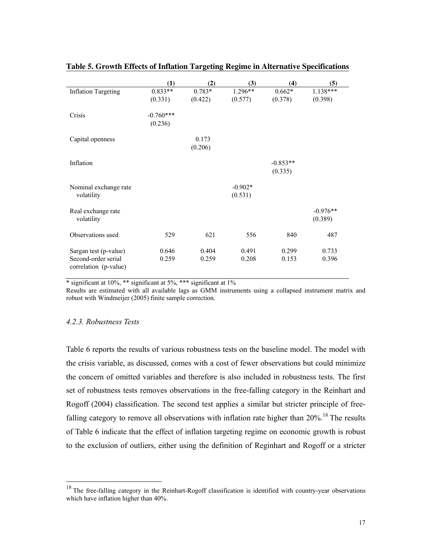|                                                                       | $\bf(1)$               | (2)               | (3)                  | (4)                   | (5)                   |
|-----------------------------------------------------------------------|------------------------|-------------------|----------------------|-----------------------|-----------------------|
| <b>Inflation Targeting</b>                                            | $0.833**$<br>(0.331)   | 0.783*<br>(0.422) | 1.296**<br>(0.577)   | $0.662*$<br>(0.378)   | 1.138***<br>(0.398)   |
| Crisis                                                                | $-0.760***$<br>(0.236) |                   |                      |                       |                       |
| Capital openness                                                      |                        | 0.173<br>(0.206)  |                      |                       |                       |
| Inflation                                                             |                        |                   |                      | $-0.853**$<br>(0.335) |                       |
| Nominal exchange rate<br>volatility                                   |                        |                   | $-0.902*$<br>(0.531) |                       |                       |
| Real exchange rate<br>volatility                                      |                        |                   |                      |                       | $-0.976**$<br>(0.389) |
| Observations used                                                     | 529                    | 621               | 556                  | 840                   | 487                   |
| Sargan test (p-value)<br>Second-order serial<br>correlation (p-value) | 0.646<br>0.259         | 0.404<br>0.259    | 0.491<br>0.208       | 0.299<br>0.153        | 0.733<br>0.396        |

### **Table 5. Growth Effects of Inflation Targeting Regime in Alternative Specifications**

 $*$  significant at 10%,  $**$  significant at 5%,  $***$  significant at 1%

Results are estimated with all available lags as GMM instruments using a collapsed instrument matrix and robust with Windmeijer (2005) finite sample correction.

#### *4.2.3. Robustness Tests*

 $\overline{a}$ 

Table 6 reports the results of various robustness tests on the baseline model. The model with the crisis variable, as discussed, comes with a cost of fewer observations but could minimize the concern of omitted variables and therefore is also included in robustness tests. The first set of robustness tests removes observations in the free-falling category in the Reinhart and Rogoff (2004) classification. The second test applies a similar but stricter principle of freefalling category to remove all observations with inflation rate higher than 20%.<sup>18</sup> The results of Table 6 indicate that the effect of inflation targeting regime on economic growth is robust to the exclusion of outliers, either using the definition of Reginhart and Rogoff or a stricter

 $18$  The free-falling category in the Reinhart-Rogoff classification is identified with country-year observations which have inflation higher than 40%.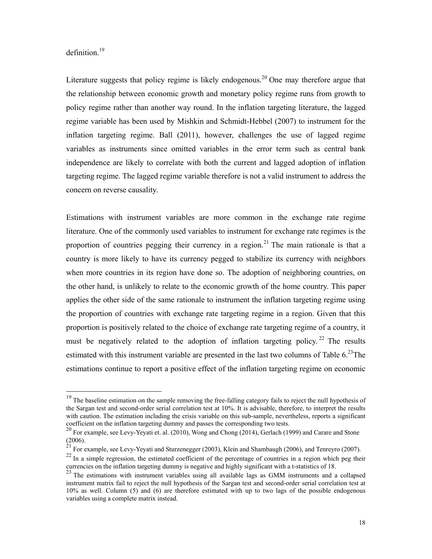### definition $19$

 $\overline{a}$ 

Literature suggests that policy regime is likely endogenous.<sup>20</sup> One may therefore argue that the relationship between economic growth and monetary policy regime runs from growth to policy regime rather than another way round. In the inflation targeting literature, the lagged regime variable has been used by Mishkin and Schmidt-Hebbel (2007) to instrument for the inflation targeting regime. Ball (2011), however, challenges the use of lagged regime variables as instruments since omitted variables in the error term such as central bank independence are likely to correlate with both the current and lagged adoption of inflation targeting regime. The lagged regime variable therefore is not a valid instrument to address the concern on reverse causality.

Estimations with instrument variables are more common in the exchange rate regime literature. One of the commonly used variables to instrument for exchange rate regimes is the proportion of countries pegging their currency in a region.<sup>21</sup> The main rationale is that a country is more likely to have its currency pegged to stabilize its currency with neighbors when more countries in its region have done so. The adoption of neighboring countries, on the other hand, is unlikely to relate to the economic growth of the home country. This paper applies the other side of the same rationale to instrument the inflation targeting regime using the proportion of countries with exchange rate targeting regime in a region. Given that this proportion is positively related to the choice of exchange rate targeting regime of a country, it must be negatively related to the adoption of inflation targeting policy.<sup>22</sup> The results estimated with this instrument variable are presented in the last two columns of Table  $6.^{23}$ The estimations continue to report a positive effect of the inflation targeting regime on economic

<sup>&</sup>lt;sup>19</sup> The baseline estimation on the sample removing the free-falling category fails to reject the null hypothesis of the Sargan test and second-order serial correlation test at 10%. It is advisable, therefore, to interpret the results with caution. The estimation including the crisis variable on this sub-sample, nevertheless, reports a significant coefficient on the inflation targeting dummy and passes the corresponding two tests.

<sup>&</sup>lt;sup>20</sup> For example, see Levy-Yeyati et. al. (2010), Wong and Chong (2014), Gerlach (1999) and Carare and Stone (2006).

 $^{21}$  For example, see Levy-Yeyati and Sturzenegger (2003), Klein and Shambaugh (2006), and Tenreyro (2007).

<sup>&</sup>lt;sup>22</sup> In a simple regression, the estimated coefficient of the percentage of countries in a region which peg their currencies on the inflation targeting dummy is negative and highly significant with a t-statistics of 18.

<sup>&</sup>lt;sup>23</sup> The estimations with instrument variables using all available lags as GMM instruments and a collapsed instrument matrix fail to reject the null hypothesis of the Sargan test and second-order serial correlation test at 10% as well. Column (5) and (6) are therefore estimated with up to two lags of the possible endogenous variables using a complete matrix instead.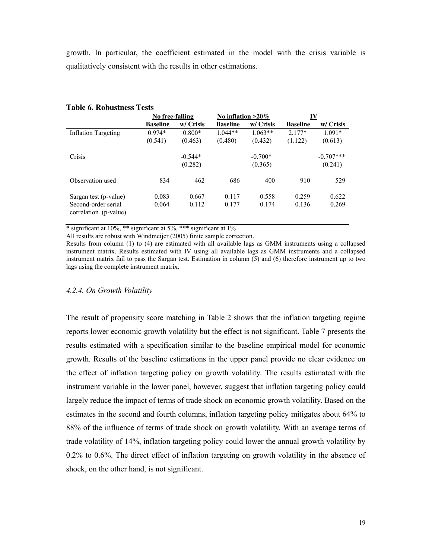growth. In particular, the coefficient estimated in the model with the crisis variable is qualitatively consistent with the results in other estimations.

|                                              |                 | No free-falling |                 | No inflation $>20\%$ |                 | IV          |
|----------------------------------------------|-----------------|-----------------|-----------------|----------------------|-----------------|-------------|
|                                              | <b>Baseline</b> | w/ Crisis       | <b>Baseline</b> | w/ Crisis            | <b>Baseline</b> | w/ Crisis   |
| <b>Inflation Targeting</b>                   | $0.974*$        | $0.800*$        | $1.044**$       | $1.063**$            | $2.177*$        | $1.091*$    |
|                                              | (0.541)         | (0.463)         | (0.480)         | (0.432)              | (1.122)         | (0.613)     |
| Crisis                                       |                 | $-0.544*$       |                 | $-0.700*$            |                 | $-0.707***$ |
|                                              |                 | (0.282)         |                 | (0.365)              |                 | (0.241)     |
| Observation used                             | 834             | 462             | 686             | 400                  | 910             | 529         |
| Sargan test (p-value)                        | 0.083           | 0.667           | 0.117           | 0.558                | 0.259           | 0.622       |
| Second-order serial<br>correlation (p-value) | 0.064           | 0.112           | 0.177           | 0.174                | 0.136           | 0.269       |

#### **Table 6. Robustness Tests**

\* significant at 10%, \*\* significant at 5%, \*\*\* significant at 1%

All results are robust with Windmeijer (2005) finite sample correction.

Results from column (1) to (4) are estimated with all available lags as GMM instruments using a collapsed instrument matrix. Results estimated with IV using all available lags as GMM instruments and a collapsed instrument matrix fail to pass the Sargan test. Estimation in column (5) and (6) therefore instrument up to two lags using the complete instrument matrix.

#### *4.2.4. On Growth Volatility*

The result of propensity score matching in Table 2 shows that the inflation targeting regime reports lower economic growth volatility but the effect is not significant. Table 7 presents the results estimated with a specification similar to the baseline empirical model for economic growth. Results of the baseline estimations in the upper panel provide no clear evidence on the effect of inflation targeting policy on growth volatility. The results estimated with the instrument variable in the lower panel, however, suggest that inflation targeting policy could largely reduce the impact of terms of trade shock on economic growth volatility. Based on the estimates in the second and fourth columns, inflation targeting policy mitigates about 64% to 88% of the influence of terms of trade shock on growth volatility. With an average terms of trade volatility of 14%, inflation targeting policy could lower the annual growth volatility by 0.2% to 0.6%. The direct effect of inflation targeting on growth volatility in the absence of shock, on the other hand, is not significant.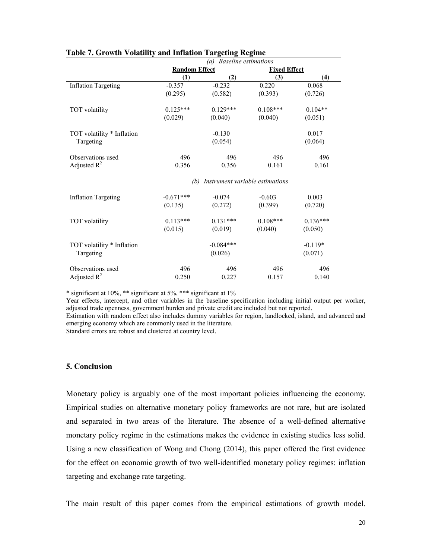|                            | (a) Baseline estimations |                                 |                     |            |  |
|----------------------------|--------------------------|---------------------------------|---------------------|------------|--|
|                            | <b>Random Effect</b>     |                                 | <b>Fixed Effect</b> |            |  |
|                            | (1)                      | (2)                             | (3)                 | (4)        |  |
| <b>Inflation Targeting</b> | $-0.357$                 | $-0.232$                        | 0.220               | 0.068      |  |
|                            | (0.295)                  | (0.582)                         | (0.393)             | (0.726)    |  |
| TOT volatility             | $0.125***$               | $0.129***$                      | $0.108***$          | $0.104**$  |  |
|                            | (0.029)                  | (0.040)                         | (0.040)             | (0.051)    |  |
| TOT volatility * Inflation |                          | $-0.130$                        |                     | 0.017      |  |
| Targeting                  |                          | (0.054)                         |                     | (0.064)    |  |
| Observations used          | 496                      | 496                             | 496                 | 496        |  |
| Adjusted $R^2$             | 0.356                    | 0.356                           | 0.161               | 0.161      |  |
|                            | (b)                      | Instrument variable estimations |                     |            |  |
| <b>Inflation Targeting</b> | $-0.671***$              | $-0.074$                        | $-0.603$            | 0.003      |  |
|                            | (0.135)                  | (0.272)                         | (0.399)             | (0.720)    |  |
| TOT volatility             | $0.113***$               | $0.131***$                      | $0.108***$          | $0.136***$ |  |
|                            | (0.015)                  | (0.019)                         | (0.040)             | (0.050)    |  |
| TOT volatility * Inflation |                          | $-0.084***$                     |                     | $-0.119*$  |  |
| Targeting                  |                          | (0.026)                         |                     | (0.071)    |  |
| Observations used          | 496                      | 496                             | 496                 | 496        |  |
| Adjusted $R^2$             | 0.250                    | 0.227                           | 0.157               | 0.140      |  |

#### **Table 7. Growth Volatility and Inflation Targeting Regime**

\* significant at 10%, \*\* significant at 5%, \*\*\* significant at 1%

Year effects, intercept, and other variables in the baseline specification including initial output per worker, adjusted trade openness, government burden and private credit are included but not reported.

Estimation with random effect also includes dummy variables for region, landlocked, island, and advanced and emerging economy which are commonly used in the literature.

Standard errors are robust and clustered at country level.

#### **5. Conclusion**

Monetary policy is arguably one of the most important policies influencing the economy. Empirical studies on alternative monetary policy frameworks are not rare, but are isolated and separated in two areas of the literature. The absence of a well-defined alternative monetary policy regime in the estimations makes the evidence in existing studies less solid. Using a new classification of Wong and Chong (2014), this paper offered the first evidence for the effect on economic growth of two well-identified monetary policy regimes: inflation targeting and exchange rate targeting.

The main result of this paper comes from the empirical estimations of growth model.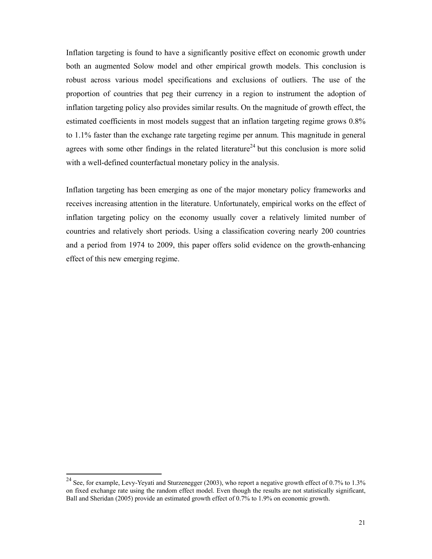Inflation targeting is found to have a significantly positive effect on economic growth under both an augmented Solow model and other empirical growth models. This conclusion is robust across various model specifications and exclusions of outliers. The use of the proportion of countries that peg their currency in a region to instrument the adoption of inflation targeting policy also provides similar results. On the magnitude of growth effect, the estimated coefficients in most models suggest that an inflation targeting regime grows 0.8% to 1.1% faster than the exchange rate targeting regime per annum. This magnitude in general agrees with some other findings in the related literature<sup>24</sup> but this conclusion is more solid with a well-defined counterfactual monetary policy in the analysis.

Inflation targeting has been emerging as one of the major monetary policy frameworks and receives increasing attention in the literature. Unfortunately, empirical works on the effect of inflation targeting policy on the economy usually cover a relatively limited number of countries and relatively short periods. Using a classification covering nearly 200 countries and a period from 1974 to 2009, this paper offers solid evidence on the growth-enhancing effect of this new emerging regime.

<sup>&</sup>lt;sup>24</sup> See, for example, Levy-Yeyati and Sturzenegger (2003), who report a negative growth effect of 0.7% to 1.3% on fixed exchange rate using the random effect model. Even though the results are not statistically significant, Ball and Sheridan (2005) provide an estimated growth effect of 0.7% to 1.9% on economic growth.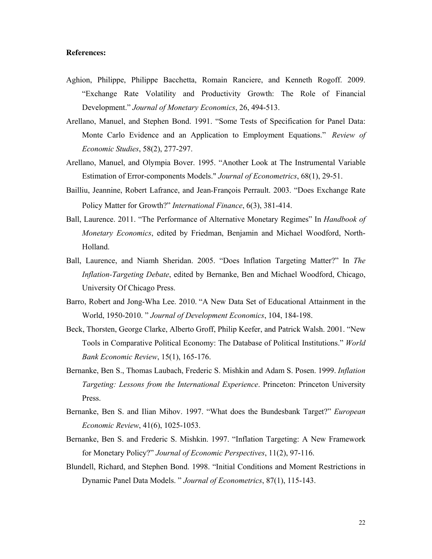#### **References:**

- Aghion, Philippe, Philippe Bacchetta, Romain Ranciere, and Kenneth Rogoff. 2009. "Exchange Rate Volatility and Productivity Growth: The Role of Financial Development." *Journal of Monetary Economics*, 26, 494-513.
- Arellano, Manuel, and Stephen Bond. 1991. "Some Tests of Specification for Panel Data: Monte Carlo Evidence and an Application to Employment Equations." *Review of Economic Studies*, 58(2), 277-297.
- Arellano, Manuel, and Olympia Bover. 1995. "Another Look at The Instrumental Variable Estimation of Error-components Models." *Journal of Econometrics*, 68(1), 29-51.
- Bailliu, Jeannine, Robert Lafrance, and Jean-François Perrault. 2003. "Does Exchange Rate Policy Matter for Growth?" *International Finance*, 6(3), 381-414.
- Ball, Laurence. 2011. "The Performance of Alternative Monetary Regimes" In *Handbook of Monetary Economics*, edited by Friedman, Benjamin and Michael Woodford, North-Holland.
- Ball, Laurence, and Niamh Sheridan. 2005. "Does Inflation Targeting Matter?" In *The Inflation-Targeting Debate*, edited by Bernanke, Ben and Michael Woodford, Chicago, University Of Chicago Press.
- Barro, Robert and Jong-Wha Lee. 2010. "A New Data Set of Educational Attainment in the World, 1950-2010. " *Journal of Development Economics*, 104, 184-198.
- Beck, Thorsten, George Clarke, Alberto Groff, Philip Keefer, and Patrick Walsh. 2001. "New Tools in Comparative Political Economy: The Database of Political Institutions." *World Bank Economic Review*, 15(1), 165-176.
- Bernanke, Ben S., Thomas Laubach, Frederic S. Mishkin and Adam S. Posen. 1999. *Inflation Targeting: Lessons from the International Experience*. Princeton: Princeton University Press.
- Bernanke, Ben S. and Ilian Mihov. 1997. "What does the Bundesbank Target?" *European Economic Review*, 41(6), 1025-1053.
- Bernanke, Ben S. and Frederic S. Mishkin. 1997. "Inflation Targeting: A New Framework for Monetary Policy?" *Journal of Economic Perspectives*, 11(2), 97-116.
- Blundell, Richard, and Stephen Bond. 1998. "Initial Conditions and Moment Restrictions in Dynamic Panel Data Models. " *Journal of Econometrics*, 87(1), 115-143.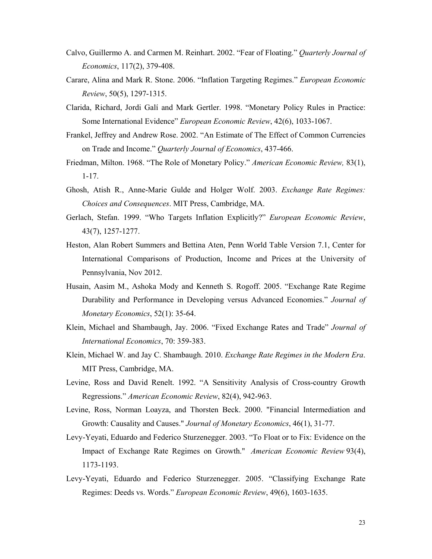- Calvo, Guillermo A. and Carmen M. Reinhart. 2002. "Fear of Floating." *Quarterly Journal of Economics*, 117(2), 379-408.
- Carare, Alina and Mark R. Stone. 2006. "Inflation Targeting Regimes." *European Economic Review*, 50(5), 1297-1315.
- Clarida, Richard, Jordi Galí and Mark Gertler. 1998. "Monetary Policy Rules in Practice: Some International Evidence" *European Economic Review*, 42(6), 1033-1067.
- Frankel, Jeffrey and Andrew Rose. 2002. "An Estimate of The Effect of Common Currencies on Trade and Income." *Quarterly Journal of Economics*, 437-466.
- Friedman, Milton. 1968. "The Role of Monetary Policy." *American Economic Review,* 83(1), 1-17.
- Ghosh, Atish R., Anne-Marie Gulde and Holger Wolf. 2003. *Exchange Rate Regimes: Choices and Consequences*. MIT Press, Cambridge, MA.
- Gerlach, Stefan. 1999. "Who Targets Inflation Explicitly?" *European Economic Review*, 43(7), 1257-1277.
- Heston, Alan Robert Summers and Bettina Aten, Penn World Table Version 7.1, Center for International Comparisons of Production, Income and Prices at the University of Pennsylvania, Nov 2012.
- Husain, Aasim M., Ashoka Mody and Kenneth S. Rogoff. 2005. "Exchange Rate Regime Durability and Performance in Developing versus Advanced Economies." *Journal of Monetary Economics*, 52(1): 35-64.
- Klein, Michael and Shambaugh, Jay. 2006. "Fixed Exchange Rates and Trade" *Journal of International Economics*, 70: 359-383.
- Klein, Michael W. and Jay C. Shambaugh. 2010. *Exchange Rate Regimes in the Modern Era*. MIT Press, Cambridge, MA.
- Levine, Ross and David Renelt. 1992. "A Sensitivity Analysis of Cross-country Growth Regressions." *American Economic Review*, 82(4), 942-963.
- Levine, Ross, Norman Loayza, and Thorsten Beck. 2000. "Financial Intermediation and Growth: Causality and Causes." *Journal of Monetary Economics*, 46(1), 31-77.
- Levy-Yeyati, Eduardo and Federico Sturzenegger. 2003. "To Float or to Fix: Evidence on the Impact of Exchange Rate Regimes on Growth." *American Economic Review* 93(4), 1173-1193.
- Levy-Yeyati, Eduardo and Federico Sturzenegger. 2005. "Classifying Exchange Rate Regimes: Deeds vs. Words." *European Economic Review*, 49(6), 1603-1635.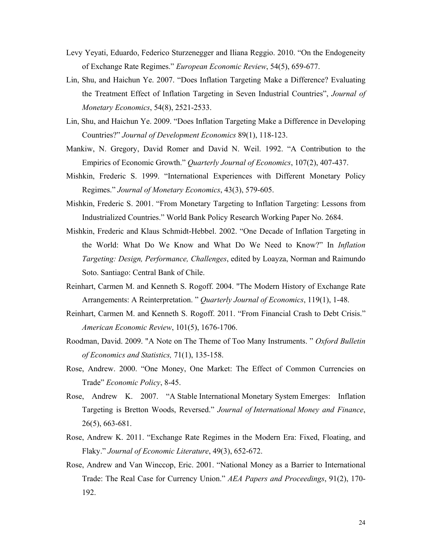- Levy Yeyati, Eduardo, Federico Sturzenegger and Iliana Reggio. 2010. "On the Endogeneity of Exchange Rate Regimes." *European Economic Review*, 54(5), 659-677.
- Lin, Shu, and Haichun Ye. 2007. "Does Inflation Targeting Make a Difference? Evaluating the Treatment Effect of Inflation Targeting in Seven Industrial Countries", *Journal of Monetary Economics*, 54(8), 2521-2533.
- Lin, Shu, and Haichun Ye. 2009. "Does Inflation Targeting Make a Difference in Developing Countries?" *Journal of Development Economics* 89(1), 118-123.
- Mankiw, N. Gregory, David Romer and David N. Weil. 1992. "A Contribution to the Empirics of Economic Growth." *Quarterly Journal of Economics*, 107(2), 407-437.
- Mishkin, Frederic S. 1999. "International Experiences with Different Monetary Policy Regimes." *Journal of Monetary Economics*, 43(3), 579-605.
- Mishkin, Frederic S. 2001. "From Monetary Targeting to Inflation Targeting: Lessons from Industrialized Countries." World Bank Policy Research Working Paper No. 2684.
- Mishkin, Frederic and Klaus Schmidt-Hebbel. 2002. "One Decade of Inflation Targeting in the World: What Do We Know and What Do We Need to Know?" In *Inflation Targeting: Design, Performance, Challenges*, edited by Loayza, Norman and Raimundo Soto. Santiago: Central Bank of Chile.
- Reinhart, Carmen M. and Kenneth S. Rogoff. 2004. "The Modern History of Exchange Rate Arrangements: A Reinterpretation. " *Quarterly Journal of Economics*, 119(1), 1-48.
- Reinhart, Carmen M. and Kenneth S. Rogoff. 2011. "From Financial Crash to Debt Crisis." *American Economic Review*, 101(5), 1676-1706.
- Roodman, David. 2009. "A Note on The Theme of Too Many Instruments. " *Oxford Bulletin of Economics and Statistics,* 71(1), 135-158.
- Rose, Andrew. 2000. "One Money, One Market: The Effect of Common Currencies on Trade" *Economic Policy*, 8-45.
- Rose, Andrew K. 2007. "A Stable International Monetary System Emerges: Inflation Targeting is Bretton Woods, Reversed." *Journal of International Money and Finance*, 26(5), 663-681.
- Rose, Andrew K. 2011. "Exchange Rate Regimes in the Modern Era: Fixed, Floating, and Flaky." *Journal of Economic Literature*, 49(3), 652-672.
- Rose, Andrew and Van Winccop, Eric. 2001. "National Money as a Barrier to International Trade: The Real Case for Currency Union." *AEA Papers and Proceedings*, 91(2), 170- 192.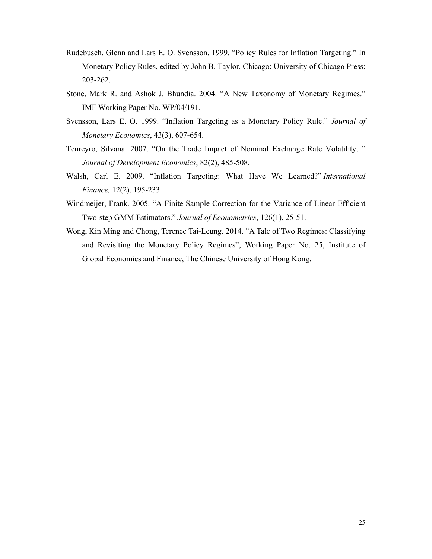- Rudebusch, Glenn and Lars E. O. Svensson. 1999. "Policy Rules for Inflation Targeting." In Monetary Policy Rules, edited by John B. Taylor. Chicago: University of Chicago Press: 203-262.
- Stone, Mark R. and Ashok J. Bhundia. 2004. "A New Taxonomy of Monetary Regimes." IMF Working Paper No. WP/04/191.
- Svensson, Lars E. O. 1999. "Inflation Targeting as a Monetary Policy Rule." *Journal of Monetary Economics*, 43(3), 607-654.
- Tenreyro, Silvana. 2007. "On the Trade Impact of Nominal Exchange Rate Volatility. " *Journal of Development Economics*, 82(2), 485-508.
- Walsh, Carl E. 2009. "Inflation Targeting: What Have We Learned?" *International Finance,* 12(2), 195-233.
- Windmeijer, Frank. 2005. "A Finite Sample Correction for the Variance of Linear Efficient Two-step GMM Estimators." *Journal of Econometrics*, 126(1), 25-51.
- Wong, Kin Ming and Chong, Terence Tai-Leung. 2014. "A Tale of Two Regimes: Classifying and Revisiting the Monetary Policy Regimes", Working Paper No. 25, Institute of Global Economics and Finance, The Chinese University of Hong Kong.